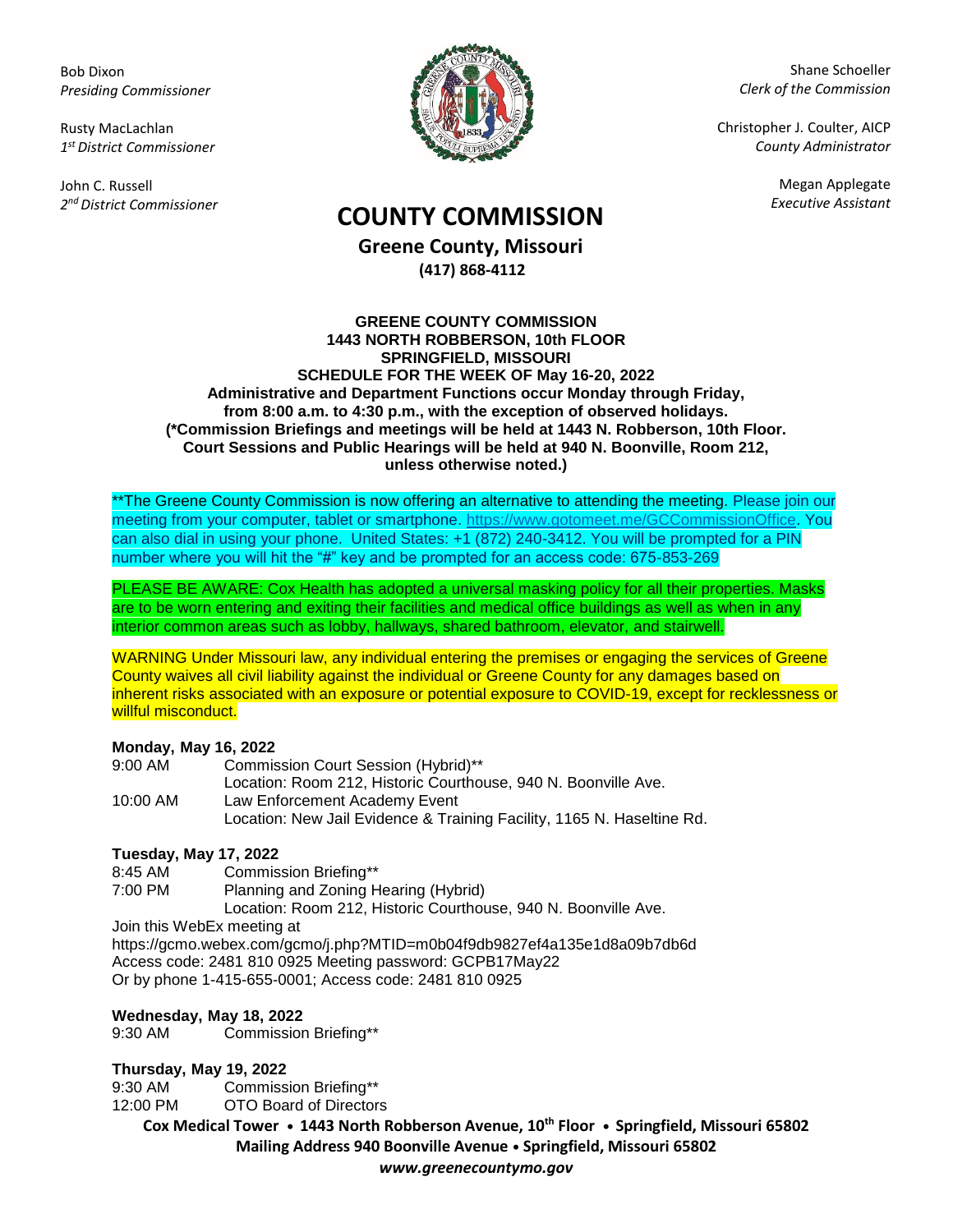Bob Dixon *Presiding Commissioner*

Rusty MacLachlan *1 st District Commissioner*

John C. Russell *2 nd District Commissioner*



Shane Schoeller *Clerk of the Commission*

Christopher J. Coulter, AICP *County Administrator*

Megan Applegate

# *Executive Assistant* **COUNTY COMMISSION**

**Greene County, Missouri (417) 868-4112**

#### **GREENE COUNTY COMMISSION 1443 NORTH ROBBERSON, 10th FLOOR SPRINGFIELD, MISSOURI SCHEDULE FOR THE WEEK OF May 16-20, 2022 Administrative and Department Functions occur Monday through Friday, from 8:00 a.m. to 4:30 p.m., with the exception of observed holidays. (\*Commission Briefings and meetings will be held at 1443 N. Robberson, 10th Floor. Court Sessions and Public Hearings will be held at 940 N. Boonville, Room 212, unless otherwise noted.)**

\*\*The Greene County Commission is now offering an alternative to attending the meeting. Please join our meeting from your computer, tablet or smartphone. [https://www.gotomeet.me/GCCommissionOffice.](https://www.gotomeet.me/GCCommissionOffice) You can also dial in using your phone. United States: +1 (872) 240-3412. You will be prompted for a PIN number where you will hit the "#" key and be prompted for an access code: 675-853-269

PLEASE BE AWARE: Cox Health has adopted a universal masking policy for all their properties. Masks are to be worn entering and exiting their facilities and medical office buildings as well as when in any interior common areas such as lobby, hallways, shared bathroom, elevator, and stairwell.

WARNING Under Missouri law, any individual entering the premises or engaging the services of Greene County waives all civil liability against the individual or Greene County for any damages based on inherent risks associated with an exposure or potential exposure to COVID-19, except for recklessness or willful misconduct.

#### **Monday, May 16, 2022**

| $9:00 \, \text{AM}$ | Commission Court Session (Hybrid)**                                    |
|---------------------|------------------------------------------------------------------------|
|                     | Location: Room 212, Historic Courthouse, 940 N. Boonville Ave.         |
| 10:00 AM            | Law Enforcement Academy Event                                          |
|                     | Location: New Jail Evidence & Training Facility, 1165 N. Haseltine Rd. |

### **Tuesday, May 17, 2022**

8:45 AM Commission Briefing\*\*

7:00 PM Planning and Zoning Hearing (Hybrid)

Location: Room 212, Historic Courthouse, 940 N. Boonville Ave.

Join this WebEx meeting at

<https://gcmo.webex.com/gcmo/j.php?MTID=m0b04f9db9827ef4a135e1d8a09b7db6d> Access code: 2481 810 0925 Meeting password: GCPB17May22 Or by phone 1-415-655-0001; Access code: 2481 810 0925

### **Wednesday, May 18, 2022**

9:30 AM Commission Briefing\*\*

## **Thursday, May 19, 2022**

Commission Briefing\*\* 12:00 PM OTO Board of Directors

**Cox Medical Tower • 1443 North Robberson Avenue, 10th Floor • Springfield, Missouri 65802 Mailing Address 940 Boonville Avenue • Springfield, Missouri 65802**

*www.greenecountymo.gov*